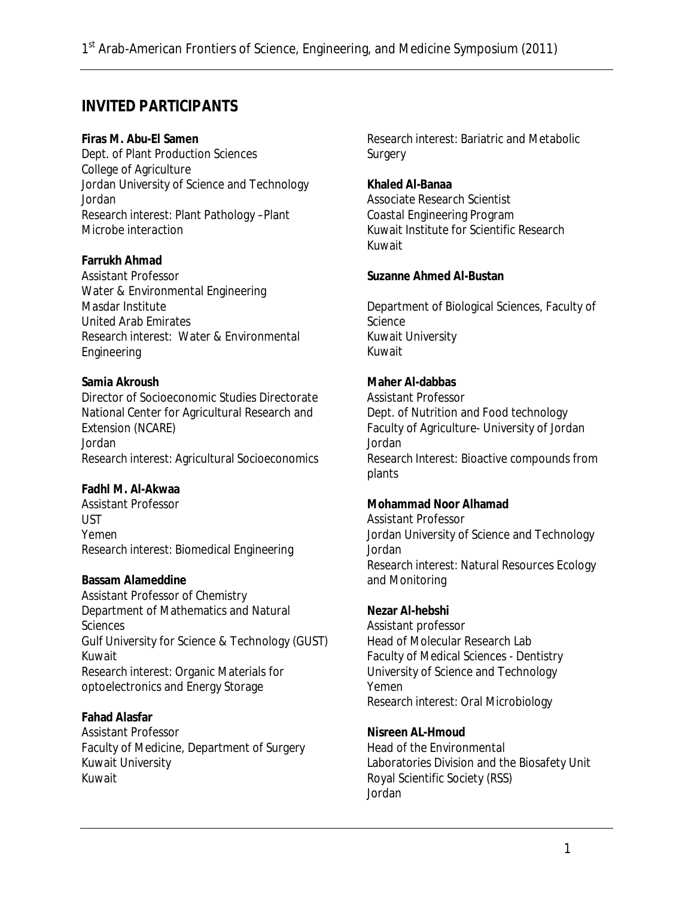# **INVITED PARTICIPANTS**

**Firas M. Abu-El Samen**  Dept. of Plant Production Sciences College of Agriculture Jordan University of Science and Technology Jordan *Research interest:* Plant Pathology –Plant Microbe interaction

**Farrukh Ahmad**  Assistant Professor Water & Environmental Engineering Masdar Institute United Arab Emirates *Research interest*: Water & Environmental Engineering

**Samia Akroush**  Director of Socioeconomic Studies Directorate National Center for Agricultural Research and Extension (NCARE) Jordan *Research interest:* Agricultural Socioeconomics

**Fadhl M. Al-Akwaa** Assistant Professor **UST** Yemen *Research interest:* Biomedical Engineering

**Bassam Alameddine**  Assistant Professor of Chemistry Department of Mathematics and Natural **Sciences** Gulf University for Science & Technology (GUST) Kuwait *Research interest:* Organic Materials for optoelectronics and Energy Storage

**Fahad Alasfar**  Assistant Professor Faculty of Medicine, Department of Surgery Kuwait University Kuwait

*Research interest:* Bariatric and Metabolic **Surgery** 

**Khaled Al-Banaa**  Associate Research Scientist Coastal Engineering Program Kuwait Institute for Scientific Research Kuwait

**Suzanne Ahmed Al-Bustan** 

Department of Biological Sciences, Faculty of Science Kuwait University Kuwait

**Maher Al-dabbas**  Assistant Professor Dept. of Nutrition and Food technology Faculty of Agriculture- University of Jordan Jordan *Research Interest*: Bioactive compounds from plants

**Mohammad Noor Alhamad**  Assistant Professor Jordan University of Science and Technology Jordan *Research interest:* Natural Resources Ecology and Monitoring

**Nezar Al-hebshi**  Assistant professor Head of Molecular Research Lab Faculty of Medical Sciences - Dentistry University of Science and Technology Yemen *Research interest:* Oral Microbiology

**Nisreen AL-Hmoud** Head of the Environmental Laboratories Division and the Biosafety Unit Royal Scientific Society (RSS) Jordan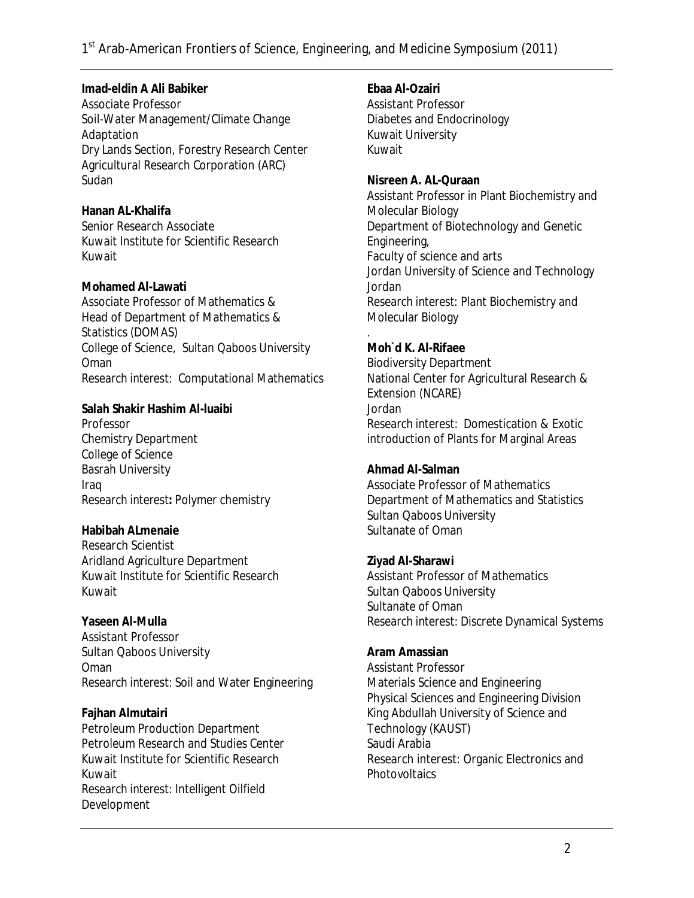**Imad-eldin A Ali Babiker**  Associate Professor Soil-Water Management/Climate Change Adaptation Dry Lands Section, Forestry Research Center Agricultural Research Corporation (ARC) Sudan

**Hanan AL-Khalifa**  Senior Research Associate Kuwait Institute for Scientific Research Kuwait

**Mohamed Al-Lawati**  Associate Professor of Mathematics & Head of Department of Mathematics & Statistics (DOMAS) College of Science, Sultan Qaboos University Oman *Research interest:* Computational Mathematics

**Salah Shakir Hashim Al-luaibi**  Professor Chemistry Department College of Science Basrah University Iraq *Research interest:* Polymer chemistry

**Habibah ALmenaie**  Research Scientist Aridland Agriculture Department Kuwait Institute for Scientific Research Kuwait

**Yaseen Al-Mulla**  Assistant Professor Sultan Qaboos University Oman *Research interest:* Soil and Water Engineering

**Fajhan Almutairi**  Petroleum Production Department Petroleum Research and Studies Center Kuwait Institute for Scientific Research Kuwait *Research interest:* Intelligent Oilfield Development

**Ebaa Al-Ozairi**  Assistant Professor Diabetes and Endocrinology Kuwait University Kuwait **Nisreen A. AL-Quraan**  Assistant Professor in Plant Biochemistry and Molecular Biology Department of Biotechnology and Genetic

Engineering, Faculty of science and arts Jordan University of Science and Technology Jordan *Research interest*: Plant Biochemistry and Molecular Biology

. **Moh`d K. Al-Rifaee**  Biodiversity Department National Center for Agricultural Research & Extension (NCARE) Jordan *Research interest:* Domestication & Exotic introduction of Plants for Marginal Areas

**Ahmad Al-Salman**  Associate Professor of Mathematics Department of Mathematics and Statistics Sultan Qaboos University Sultanate of Oman

**Ziyad Al-Sharawi**  Assistant Professor of Mathematics Sultan Qaboos University Sultanate of Oman *Research interest:* Discrete Dynamical Systems

**Aram Amassian**  Assistant Professor Materials Science and Engineering Physical Sciences and Engineering Division King Abdullah University of Science and Technology (KAUST) Saudi Arabia Research interest: Organic Electronics and **Photovoltaics**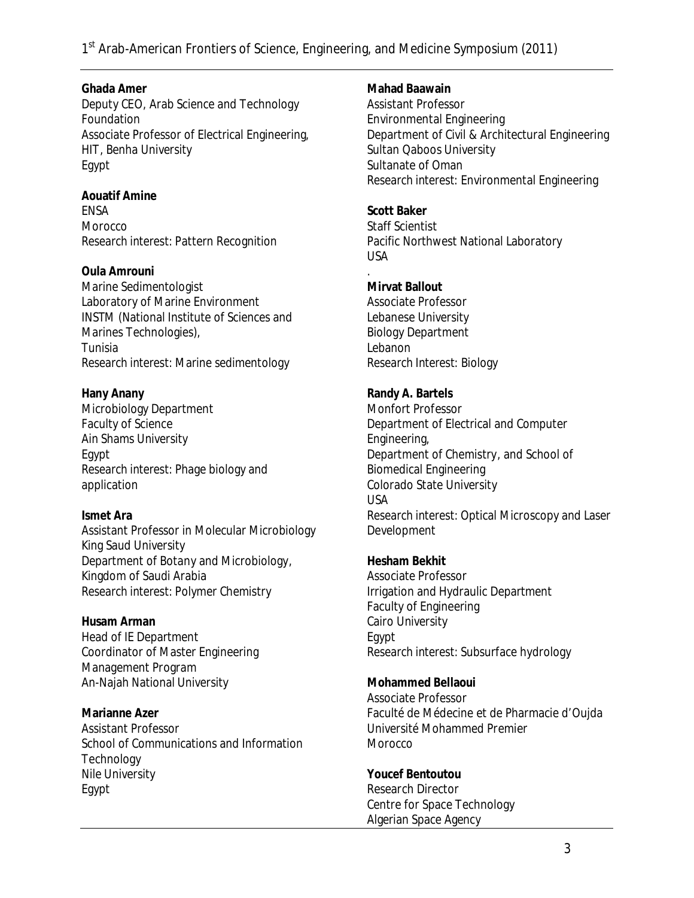**Ghada Amer**  Deputy CEO, Arab Science and Technology Foundation Associate Professor of Electrical Engineering, HIT, Benha University Egypt

**Aouatif Amine**  ENSA Morocco *Research interest:* Pattern Recognition

**Oula Amrouni**  Marine Sedimentologist Laboratory of Marine Environment INSTM (National Institute of Sciences and Marines Technologies), Tunisia *Research interest:* Marine sedimentology

**Hany Anany**  Microbiology Department Faculty of Science Ain Shams University Egypt *Research interest:* Phage biology and application

**Ismet Ara**  Assistant Professor in Molecular Microbiology King Saud University Department of Botany and Microbiology, Kingdom of Saudi Arabia *Research interest:* Polymer Chemistry

**Husam Arman**  Head of IE Department Coordinator of Master Engineering Management Program An-Najah National University

**Marianne Azer**  Assistant Professor School of Communications and Information **Technology** Nile University Egypt

**Mahad Baawain**  Assistant Professor Environmental Engineering Department of Civil & Architectural Engineering Sultan Qaboos University Sultanate of Oman *Research interest*: Environmental Engineering

**Scott Baker**  Staff Scientist Pacific Northwest National Laboratory USA .

**Mirvat Ballout**  Associate Professor Lebanese University Biology Department Lebanon *Research Interest*: Biology

**Randy A. Bartels**  Monfort Professor Department of Electrical and Computer Engineering, Department of Chemistry, and School of Biomedical Engineering Colorado State University USA *Research interest:* Optical Microscopy and Laser Development

**Hesham Bekhit**  Associate Professor Irrigation and Hydraulic Department Faculty of Engineering Cairo University Egypt *Research interest:* Subsurface hydrology

**Mohammed Bellaoui**  Associate Professor Faculté de Médecine et de Pharmacie d'Oujda Université Mohammed Premier Morocco

**Youcef Bentoutou**  Research Director Centre for Space Technology Algerian Space Agency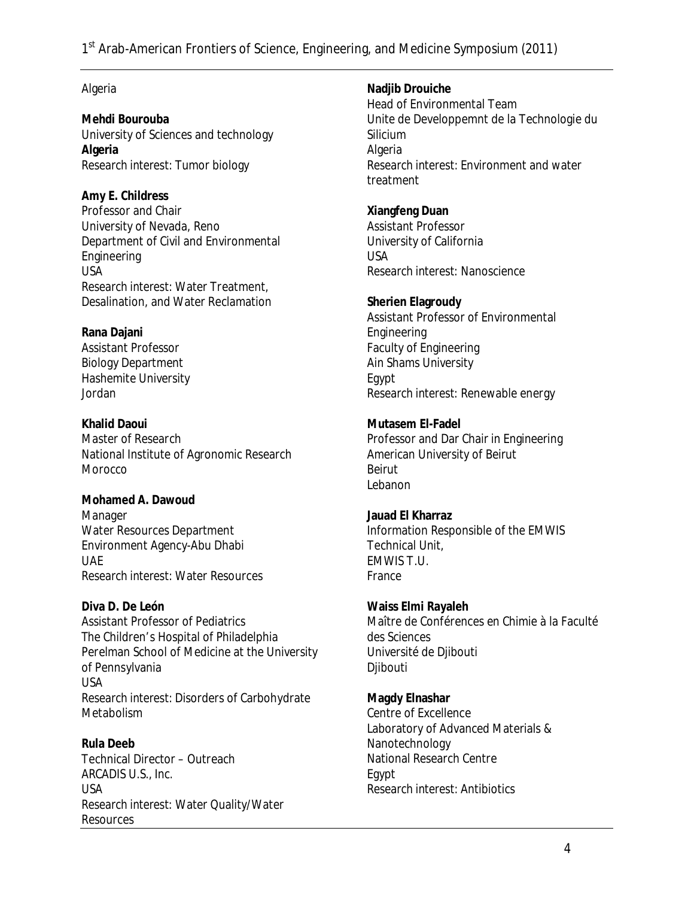### Algeria

**Mehdi Bourouba**  University of Sciences and technology **Algeria**  *Research interest:* Tumor biology

**Amy E. Childress**  Professor and Chair University of Nevada, Reno Department of Civil and Environmental Engineering USA *Research interest:* Water Treatment, Desalination, and Water Reclamation

**Rana Dajani**  Assistant Professor Biology Department Hashemite University Jordan

**Khalid Daoui**  Master of Research National Institute of Agronomic Research Morocco

**Mohamed A. Dawoud**  Manager Water Resources Department Environment Agency-Abu Dhabi UAE *Research interest:* Water Resources

**Diva D. De León** Assistant Professor of Pediatrics The Children's Hospital of Philadelphia Perelman School of Medicine at the University of Pennsylvania USA *Research interest:* Disorders of Carbohydrate Metabolism

**Rula Deeb**  Technical Director – Outreach ARCADIS U.S., Inc. USA *Research interest*: Water Quality/Water **Resources** 

**Nadjib Drouiche**  Head of Environmental Team Unite de Developpemnt de la Technologie du Silicium Algeria *Research interest:* Environment and water treatment

**Xiangfeng Duan**  Assistant Professor University of California USA *Research interest*: Nanoscience

**Sherien Elagroudy**  Assistant Professor of Environmental **Engineering** Faculty of Engineering Ain Shams University Egypt *Research interest*: Renewable energy

**Mutasem El-Fadel**  Professor and Dar Chair in Engineering American University of Beirut Beirut Lebanon

**Jauad El Kharraz**  Information Responsible of the EMWIS Technical Unit, EMWIS T.U. France

**Waiss Elmi Rayaleh** Maître de Conférences en Chimie à la Faculté des Sciences Université de Djibouti Djibouti

**Magdy Elnashar**  Centre of Excellence Laboratory of Advanced Materials & Nanotechnology National Research Centre Egypt *Research interest:* Antibiotics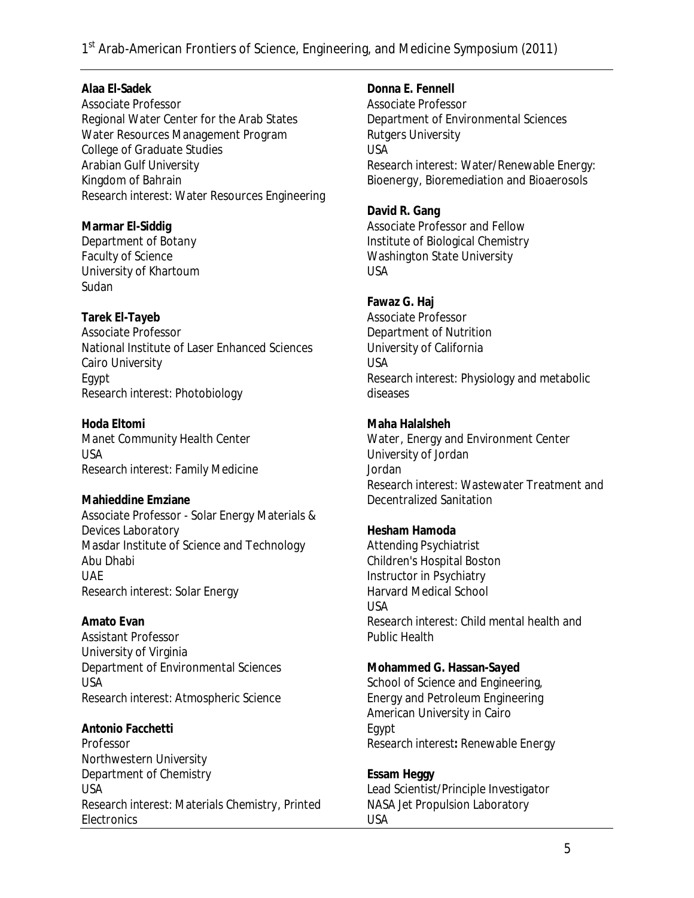**Alaa El-Sadek** Associate Professor Regional Water Center for the Arab States Water Resources Management Program College of Graduate Studies Arabian Gulf University Kingdom of Bahrain *Research interest:* Water Resources Engineering

**Marmar El-Siddig**  Department of Botany Faculty of Science University of Khartoum Sudan

**Tarek El-Tayeb**  Associate Professor National Institute of Laser Enhanced Sciences Cairo University Egypt *Research interest:* Photobiology

**Hoda Eltomi**  Manet Community Health Center USA *Research interest:* Family Medicine

**Mahieddine Emziane**  Associate Professor - Solar Energy Materials & Devices Laboratory Masdar Institute of Science and Technology Abu Dhabi UAE *Research interest:* Solar Energy

**Amato Evan**  Assistant Professor University of Virginia Department of Environmental Sciences USA *Research interest:* Atmospheric Science

**Antonio Facchetti**  Professor Northwestern University Department of Chemistry USA *Research interest:* Materials Chemistry, Printed **Electronics** 

**Donna E. Fennell**  Associate Professor Department of Environmental Sciences Rutgers University USA *Research interest*: Water/Renewable Energy: Bioenergy, Bioremediation and Bioaerosols

**David R. Gang**  Associate Professor and Fellow Institute of Biological Chemistry Washington State University USA

**Fawaz G. Haj**  Associate Professor Department of Nutrition University of California USA *Research interest*: Physiology and metabolic diseases

**Maha Halalsheh**  Water, Energy and Environment Center University of Jordan Jordan *Research interest:* Wastewater Treatment and Decentralized Sanitation

**Hesham Hamoda**  Attending Psychiatrist Children's Hospital Boston Instructor in Psychiatry Harvard Medical School USA *Research interest:* Child mental health and Public Health

**Mohammed G. Hassan-Sayed**  School of Science and Engineering, Energy and Petroleum Engineering American University in Cairo Egypt *Research interest:* Renewable Energy

**Essam Heggy**  Lead Scientist/Principle Investigator NASA Jet Propulsion Laboratory USA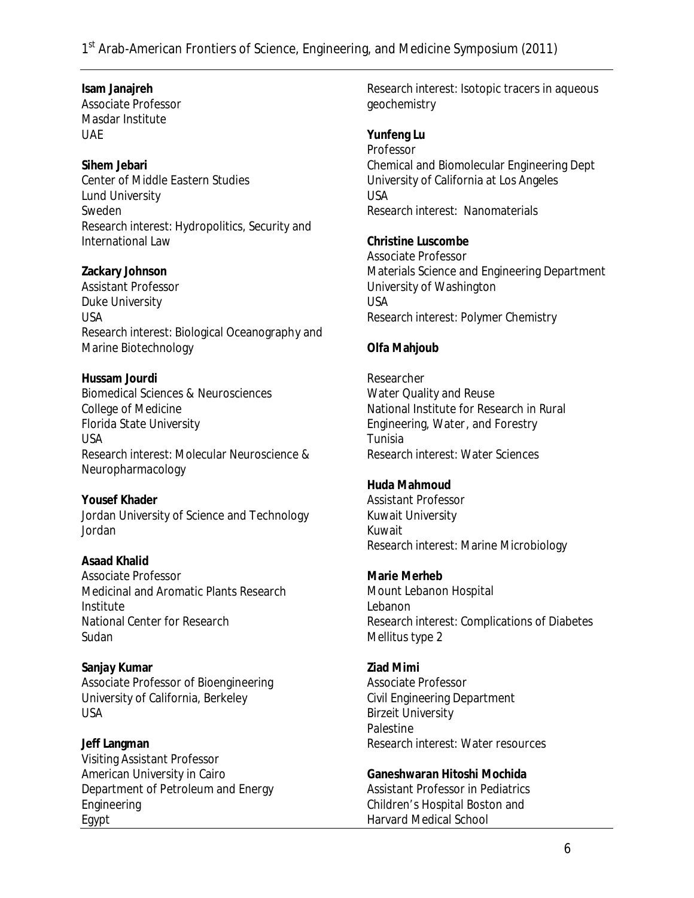**Isam Janajreh**  Associate Professor Masdar Institute UAE

**Sihem Jebari**  Center of Middle Eastern Studies Lund University Sweden *Research interest:* Hydropolitics, Security and International Law

**Zackary Johnson**  Assistant Professor Duke University USA *Research interest:* Biological Oceanography and Marine Biotechnology

**Hussam Jourdi**  Biomedical Sciences & Neurosciences College of Medicine Florida State University USA *Research interest:* Molecular Neuroscience & Neuropharmacology

**Yousef Khader**  Jordan University of Science and Technology Jordan

**Asaad Khalid**  Associate Professor Medicinal and Aromatic Plants Research Institute National Center for Research **Sudan** 

**Sanjay Kumar**  Associate Professor of Bioengineering University of California, Berkeley USA

**Jeff Langman**  Visiting Assistant Professor American University in Cairo Department of Petroleum and Energy Engineering Egypt

*Research interest:* Isotopic tracers in aqueous geochemistry

**Yunfeng Lu**  Professor Chemical and Biomolecular Engineering Dept University of California at Los Angeles USA *Research interest*: Nanomaterials

**Christine Luscombe**  Associate Professor Materials Science and Engineering Department University of Washington USA *Research interest:* Polymer Chemistry

#### **Olfa Mahjoub**

Researcher Water Quality and Reuse National Institute for Research in Rural Engineering, Water, and Forestry Tunisia *Research interest:* Water Sciences

**Huda Mahmoud**  Assistant Professor Kuwait University Kuwait *Research interest:* Marine Microbiology

**Marie Merheb**  Mount Lebanon Hospital Lebanon *Research interest:* Complications of Diabetes Mellitus type 2

**Ziad Mimi**  Associate Professor Civil Engineering Department Birzeit University **Palestine** *Research interest*: Water resources

**Ganeshwaran Hitoshi Mochida**  Assistant Professor in Pediatrics Children's Hospital Boston and Harvard Medical School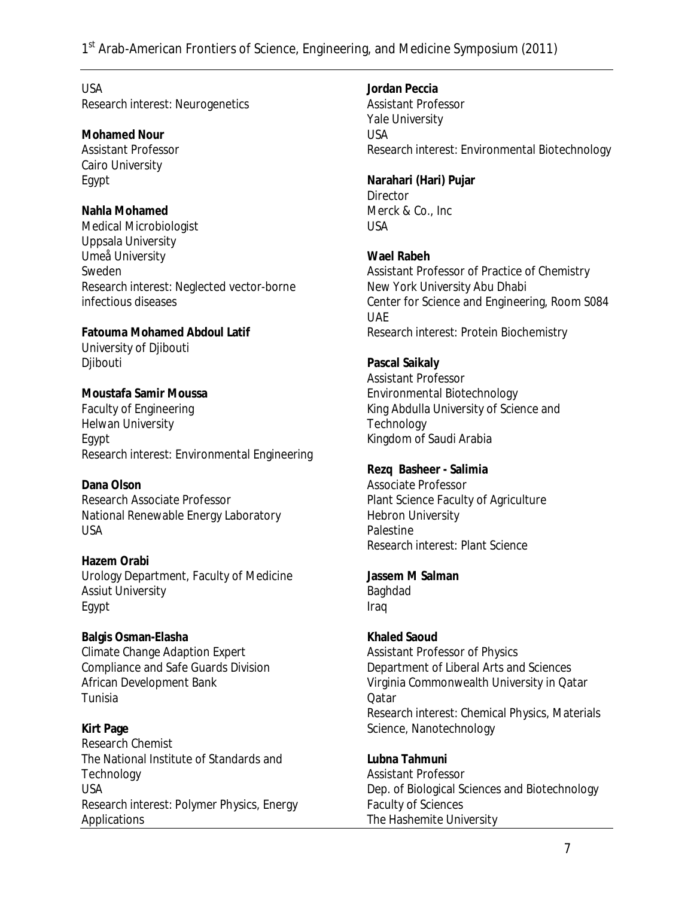USA *Research interest:* Neurogenetics

**Mohamed Nour**  Assistant Professor Cairo University Egypt

**Nahla Mohamed** Medical Microbiologist Uppsala University Umeå University Sweden *Research interest:* Neglected vector-borne infectious diseases

**Fatouma Mohamed Abdoul Latif**  University of Djibouti Djibouti

**Moustafa Samir Moussa**  Faculty of Engineering Helwan University Egypt *Research interest*: Environmental Engineering

**Dana Olson**  Research Associate Professor National Renewable Energy Laboratory USA

**Hazem Orabi**  Urology Department, Faculty of Medicine Assiut University Egypt

**Balgis Osman-Elasha**  Climate Change Adaption Expert Compliance and Safe Guards Division African Development Bank Tunisia

**Kirt Page**  Research Chemist The National Institute of Standards and **Technology** USA *Research interest:* Polymer Physics, Energy Applications

**Jordan Peccia**  Assistant Professor Yale University USA *Research interest:* Environmental Biotechnology

**Narahari (Hari) Pujar Director** Merck & Co., Inc USA

**Wael Rabeh**  Assistant Professor of Practice of Chemistry New York University Abu Dhabi Center for Science and Engineering, Room S084 UAE *Research interest*: Protein Biochemistry

**Pascal Saikaly**  Assistant Professor Environmental Biotechnology King Abdulla University of Science and **Technology** Kingdom of Saudi Arabia

**Rezq Basheer - Salimia**  Associate Professor Plant Science Faculty of Agriculture Hebron University **Palestine** *Research interest*: Plant Science

**Jassem M Salman**  Baghdad Iraq

**Khaled Saoud**  Assistant Professor of Physics Department of Liberal Arts and Sciences Virginia Commonwealth University in Qatar Qatar *Research interest:* Chemical Physics, Materials Science, Nanotechnology

**Lubna Tahmuni** Assistant Professor Dep. of Biological Sciences and Biotechnology Faculty of Sciences The Hashemite University